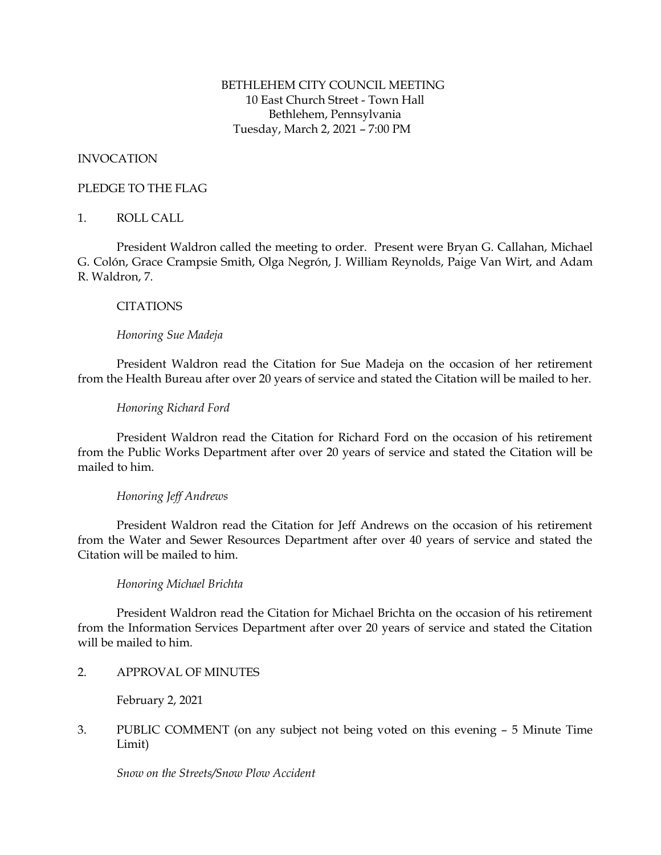# BETHLEHEM CITY COUNCIL MEETING 10 East Church Street - Town Hall Bethlehem, Pennsylvania Tuesday, March 2, 2021 – 7:00 PM

# INVOCATION

# PLEDGE TO THE FLAG

# 1. ROLL CALL

President Waldron called the meeting to order. Present were Bryan G. Callahan, Michael G. Colón, Grace Crampsie Smith, Olga Negrón, J. William Reynolds, Paige Van Wirt, and Adam R. Waldron, 7.

# **CITATIONS**

# *Honoring Sue Madeja*

President Waldron read the Citation for Sue Madeja on the occasion of her retirement from the Health Bureau after over 20 years of service and stated the Citation will be mailed to her.

# *Honoring Richard Ford*

President Waldron read the Citation for Richard Ford on the occasion of his retirement from the Public Works Department after over 20 years of service and stated the Citation will be mailed to him.

# *Honoring Jeff Andrews*

President Waldron read the Citation for Jeff Andrews on the occasion of his retirement from the Water and Sewer Resources Department after over 40 years of service and stated the Citation will be mailed to him.

# *Honoring Michael Brichta*

President Waldron read the Citation for Michael Brichta on the occasion of his retirement from the Information Services Department after over 20 years of service and stated the Citation will be mailed to him.

2. APPROVAL OF MINUTES

February 2, 2021

3. PUBLIC COMMENT (on any subject not being voted on this evening – 5 Minute Time Limit)

*Snow on the Streets/Snow Plow Accident*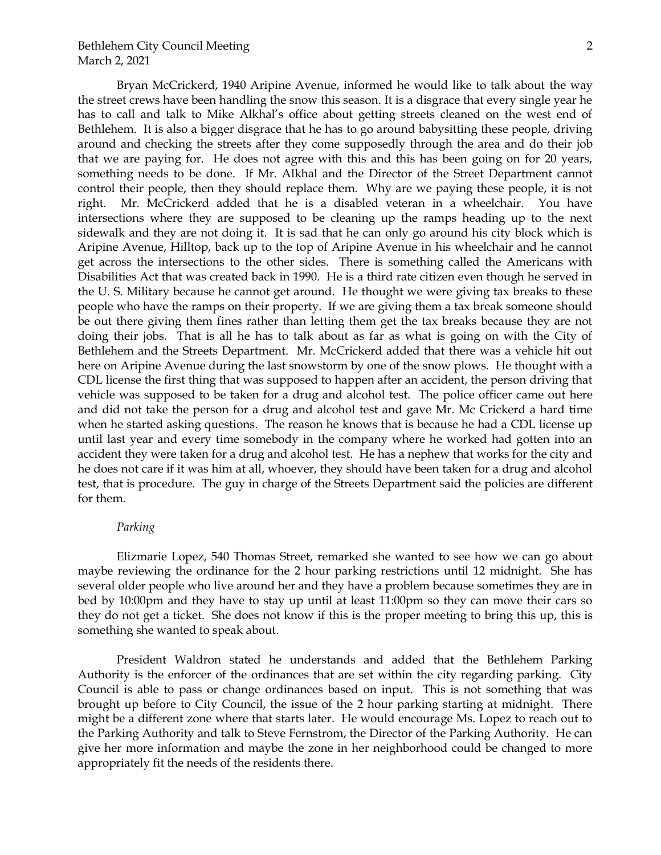Bryan McCrickerd, 1940 Aripine Avenue, informed he would like to talk about the way the street crews have been handling the snow this season. It is a disgrace that every single year he has to call and talk to Mike Alkhal's office about getting streets cleaned on the west end of Bethlehem. It is also a bigger disgrace that he has to go around babysitting these people, driving around and checking the streets after they come supposedly through the area and do their job that we are paying for. He does not agree with this and this has been going on for 20 years, something needs to be done. If Mr. Alkhal and the Director of the Street Department cannot control their people, then they should replace them. Why are we paying these people, it is not right. Mr. McCrickerd added that he is a disabled veteran in a wheelchair. You have intersections where they are supposed to be cleaning up the ramps heading up to the next sidewalk and they are not doing it. It is sad that he can only go around his city block which is Aripine Avenue, Hilltop, back up to the top of Aripine Avenue in his wheelchair and he cannot get across the intersections to the other sides. There is something called the Americans with Disabilities Act that was created back in 1990. He is a third rate citizen even though he served in the U. S. Military because he cannot get around. He thought we were giving tax breaks to these people who have the ramps on their property. If we are giving them a tax break someone should be out there giving them fines rather than letting them get the tax breaks because they are not

doing their jobs. That is all he has to talk about as far as what is going on with the City of Bethlehem and the Streets Department. Mr. McCrickerd added that there was a vehicle hit out here on Aripine Avenue during the last snowstorm by one of the snow plows. He thought with a CDL license the first thing that was supposed to happen after an accident, the person driving that vehicle was supposed to be taken for a drug and alcohol test. The police officer came out here and did not take the person for a drug and alcohol test and gave Mr. Mc Crickerd a hard time when he started asking questions. The reason he knows that is because he had a CDL license up until last year and every time somebody in the company where he worked had gotten into an accident they were taken for a drug and alcohol test. He has a nephew that works for the city and he does not care if it was him at all, whoever, they should have been taken for a drug and alcohol test, that is procedure. The guy in charge of the Streets Department said the policies are different for them.

#### *Parking*

Elizmarie Lopez, 540 Thomas Street, remarked she wanted to see how we can go about maybe reviewing the ordinance for the 2 hour parking restrictions until 12 midnight. She has several older people who live around her and they have a problem because sometimes they are in bed by 10:00pm and they have to stay up until at least 11:00pm so they can move their cars so they do not get a ticket. She does not know if this is the proper meeting to bring this up, this is something she wanted to speak about.

President Waldron stated he understands and added that the Bethlehem Parking Authority is the enforcer of the ordinances that are set within the city regarding parking. City Council is able to pass or change ordinances based on input. This is not something that was brought up before to City Council, the issue of the 2 hour parking starting at midnight. There might be a different zone where that starts later. He would encourage Ms. Lopez to reach out to the Parking Authority and talk to Steve Fernstrom, the Director of the Parking Authority. He can give her more information and maybe the zone in her neighborhood could be changed to more appropriately fit the needs of the residents there.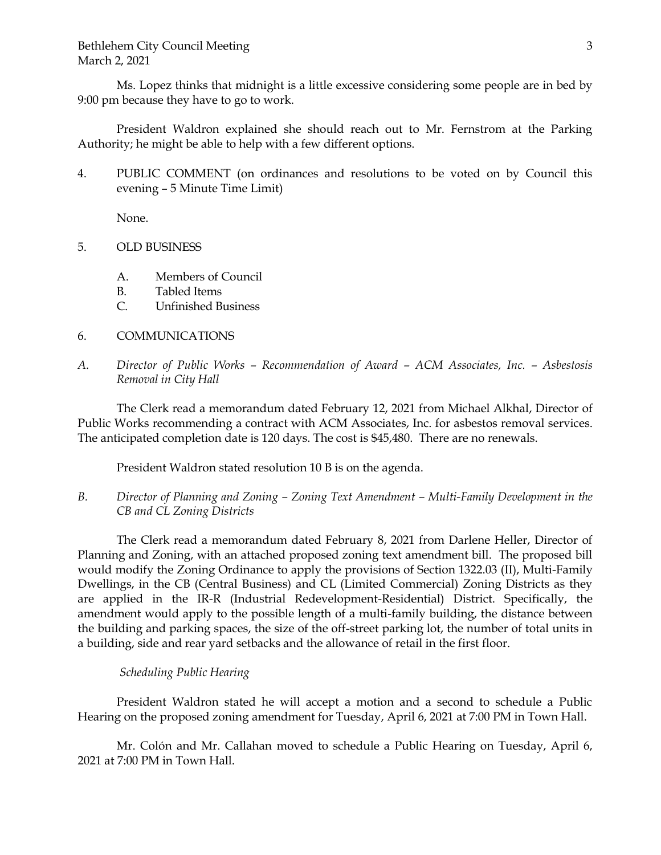Ms. Lopez thinks that midnight is a little excessive considering some people are in bed by 9:00 pm because they have to go to work.

President Waldron explained she should reach out to Mr. Fernstrom at the Parking Authority; he might be able to help with a few different options.

4. PUBLIC COMMENT (on ordinances and resolutions to be voted on by Council this evening – 5 Minute Time Limit)

None.

- 5. OLD BUSINESS
	- A. Members of Council
	- B. Tabled Items
	- C. Unfinished Business
- 6. COMMUNICATIONS
- *A. Director of Public Works – Recommendation of Award – ACM Associates, Inc. – Asbestosis Removal in City Hall*

The Clerk read a memorandum dated February 12, 2021 from Michael Alkhal, Director of Public Works recommending a contract with ACM Associates, Inc. for asbestos removal services. The anticipated completion date is 120 days. The cost is \$45,480. There are no renewals.

President Waldron stated resolution 10 B is on the agenda.

*B. Director of Planning and Zoning – Zoning Text Amendment – Multi-Family Development in the CB and CL Zoning Districts*

The Clerk read a memorandum dated February 8, 2021 from Darlene Heller, Director of Planning and Zoning, with an attached proposed zoning text amendment bill. The proposed bill would modify the Zoning Ordinance to apply the provisions of Section 1322.03 (II), Multi-Family Dwellings, in the CB (Central Business) and CL (Limited Commercial) Zoning Districts as they are applied in the IR-R (Industrial Redevelopment-Residential) District. Specifically, the amendment would apply to the possible length of a multi-family building, the distance between the building and parking spaces, the size of the off-street parking lot, the number of total units in a building, side and rear yard setbacks and the allowance of retail in the first floor.

# *Scheduling Public Hearing*

President Waldron stated he will accept a motion and a second to schedule a Public Hearing on the proposed zoning amendment for Tuesday, April 6, 2021 at 7:00 PM in Town Hall.

Mr. Colón and Mr. Callahan moved to schedule a Public Hearing on Tuesday, April 6, 2021 at 7:00 PM in Town Hall.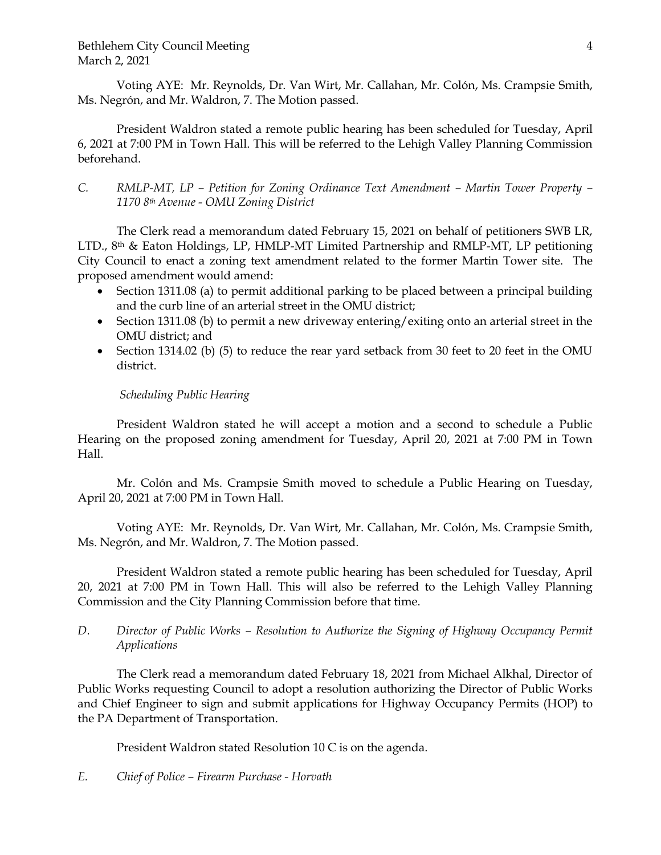Voting AYE: Mr. Reynolds, Dr. Van Wirt, Mr. Callahan, Mr. Colón, Ms. Crampsie Smith, Ms. Negrón, and Mr. Waldron, 7. The Motion passed.

President Waldron stated a remote public hearing has been scheduled for Tuesday, April 6, 2021 at 7:00 PM in Town Hall. This will be referred to the Lehigh Valley Planning Commission beforehand.

# *C. RMLP-MT, LP – Petition for Zoning Ordinance Text Amendment – Martin Tower Property – 1170 8th Avenue - OMU Zoning District*

The Clerk read a memorandum dated February 15, 2021 on behalf of petitioners SWB LR, LTD.,  $8<sup>th</sup>$  & Eaton Holdings, LP, HMLP-MT Limited Partnership and RMLP-MT, LP petitioning City Council to enact a zoning text amendment related to the former Martin Tower site. The proposed amendment would amend:

- Section 1311.08 (a) to permit additional parking to be placed between a principal building and the curb line of an arterial street in the OMU district;
- Section 1311.08 (b) to permit a new driveway entering/exiting onto an arterial street in the OMU district; and
- Section 1314.02 (b) (5) to reduce the rear yard setback from 30 feet to 20 feet in the OMU district.

# *Scheduling Public Hearing*

President Waldron stated he will accept a motion and a second to schedule a Public Hearing on the proposed zoning amendment for Tuesday, April 20, 2021 at 7:00 PM in Town Hall.

Mr. Colón and Ms. Crampsie Smith moved to schedule a Public Hearing on Tuesday, April 20, 2021 at 7:00 PM in Town Hall.

Voting AYE: Mr. Reynolds, Dr. Van Wirt, Mr. Callahan, Mr. Colón, Ms. Crampsie Smith, Ms. Negrón, and Mr. Waldron, 7. The Motion passed.

President Waldron stated a remote public hearing has been scheduled for Tuesday, April 20, 2021 at 7:00 PM in Town Hall. This will also be referred to the Lehigh Valley Planning Commission and the City Planning Commission before that time.

# *D. Director of Public Works – Resolution to Authorize the Signing of Highway Occupancy Permit Applications*

The Clerk read a memorandum dated February 18, 2021 from Michael Alkhal, Director of Public Works requesting Council to adopt a resolution authorizing the Director of Public Works and Chief Engineer to sign and submit applications for Highway Occupancy Permits (HOP) to the PA Department of Transportation.

President Waldron stated Resolution 10 C is on the agenda.

# *E. Chief of Police – Firearm Purchase - Horvath*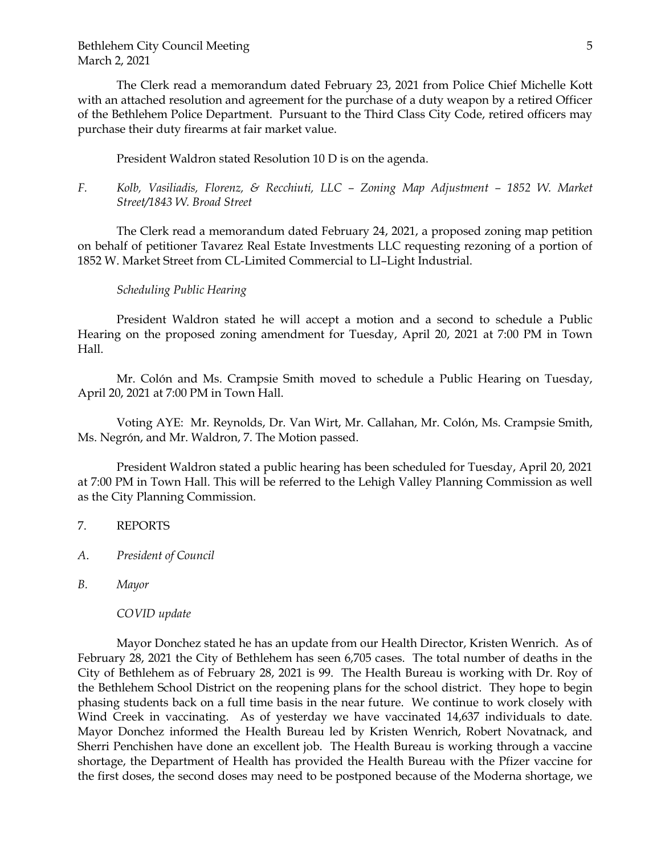The Clerk read a memorandum dated February 23, 2021 from Police Chief Michelle Kott with an attached resolution and agreement for the purchase of a duty weapon by a retired Officer of the Bethlehem Police Department. Pursuant to the Third Class City Code, retired officers may purchase their duty firearms at fair market value.

President Waldron stated Resolution 10 D is on the agenda.

*F. Kolb, Vasiliadis, Florenz, & Recchiuti, LLC – Zoning Map Adjustment – 1852 W. Market Street/1843 W. Broad Street*

The Clerk read a memorandum dated February 24, 2021, a proposed zoning map petition on behalf of petitioner Tavarez Real Estate Investments LLC requesting rezoning of a portion of 1852 W. Market Street from CL-Limited Commercial to LI–Light Industrial.

#### *Scheduling Public Hearing*

President Waldron stated he will accept a motion and a second to schedule a Public Hearing on the proposed zoning amendment for Tuesday, April 20, 2021 at 7:00 PM in Town Hall.

Mr. Colón and Ms. Crampsie Smith moved to schedule a Public Hearing on Tuesday, April 20, 2021 at 7:00 PM in Town Hall.

Voting AYE: Mr. Reynolds, Dr. Van Wirt, Mr. Callahan, Mr. Colón, Ms. Crampsie Smith, Ms. Negrón, and Mr. Waldron, 7. The Motion passed.

President Waldron stated a public hearing has been scheduled for Tuesday, April 20, 2021 at 7:00 PM in Town Hall. This will be referred to the Lehigh Valley Planning Commission as well as the City Planning Commission.

#### 7. REPORTS

*A*. *President of Council*

*B. Mayor*

*COVID update*

Mayor Donchez stated he has an update from our Health Director, Kristen Wenrich. As of February 28, 2021 the City of Bethlehem has seen 6,705 cases. The total number of deaths in the City of Bethlehem as of February 28, 2021 is 99. The Health Bureau is working with Dr. Roy of the Bethlehem School District on the reopening plans for the school district. They hope to begin phasing students back on a full time basis in the near future. We continue to work closely with Wind Creek in vaccinating. As of yesterday we have vaccinated 14,637 individuals to date. Mayor Donchez informed the Health Bureau led by Kristen Wenrich, Robert Novatnack, and Sherri Penchishen have done an excellent job. The Health Bureau is working through a vaccine shortage, the Department of Health has provided the Health Bureau with the Pfizer vaccine for the first doses, the second doses may need to be postponed because of the Moderna shortage, we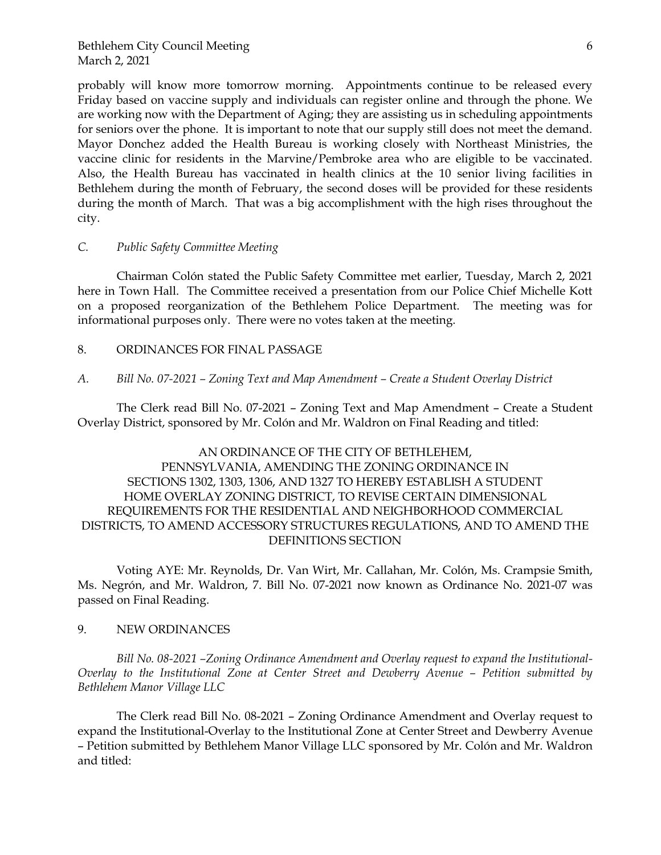probably will know more tomorrow morning. Appointments continue to be released every Friday based on vaccine supply and individuals can register online and through the phone. We are working now with the Department of Aging; they are assisting us in scheduling appointments for seniors over the phone. It is important to note that our supply still does not meet the demand. Mayor Donchez added the Health Bureau is working closely with Northeast Ministries, the vaccine clinic for residents in the Marvine/Pembroke area who are eligible to be vaccinated. Also, the Health Bureau has vaccinated in health clinics at the 10 senior living facilities in Bethlehem during the month of February, the second doses will be provided for these residents during the month of March. That was a big accomplishment with the high rises throughout the city.

#### *C. Public Safety Committee Meeting*

Chairman Colón stated the Public Safety Committee met earlier, Tuesday, March 2, 2021 here in Town Hall. The Committee received a presentation from our Police Chief Michelle Kott on a proposed reorganization of the Bethlehem Police Department. The meeting was for informational purposes only. There were no votes taken at the meeting.

8. ORDINANCES FOR FINAL PASSAGE

### *A. Bill No. 07-2021 – Zoning Text and Map Amendment – Create a Student Overlay District*

The Clerk read Bill No. 07-2021 – Zoning Text and Map Amendment – Create a Student Overlay District, sponsored by Mr. Colón and Mr. Waldron on Final Reading and titled:

# AN ORDINANCE OF THE CITY OF BETHLEHEM, PENNSYLVANIA, AMENDING THE ZONING ORDINANCE IN SECTIONS 1302, 1303, 1306, AND 1327 TO HEREBY ESTABLISH A STUDENT HOME OVERLAY ZONING DISTRICT, TO REVISE CERTAIN DIMENSIONAL REQUIREMENTS FOR THE RESIDENTIAL AND NEIGHBORHOOD COMMERCIAL DISTRICTS, TO AMEND ACCESSORY STRUCTURES REGULATIONS, AND TO AMEND THE DEFINITIONS SECTION

Voting AYE: Mr. Reynolds, Dr. Van Wirt, Mr. Callahan, Mr. Colón, Ms. Crampsie Smith, Ms. Negrón, and Mr. Waldron, 7. Bill No. 07-2021 now known as Ordinance No. 2021-07 was passed on Final Reading.

### 9. NEW ORDINANCES

*Bill No. 08-2021 –Zoning Ordinance Amendment and Overlay request to expand the Institutional-Overlay to the Institutional Zone at Center Street and Dewberry Avenue – Petition submitted by Bethlehem Manor Village LLC*

The Clerk read Bill No. 08-2021 – Zoning Ordinance Amendment and Overlay request to expand the Institutional-Overlay to the Institutional Zone at Center Street and Dewberry Avenue – Petition submitted by Bethlehem Manor Village LLC sponsored by Mr. Colón and Mr. Waldron and titled: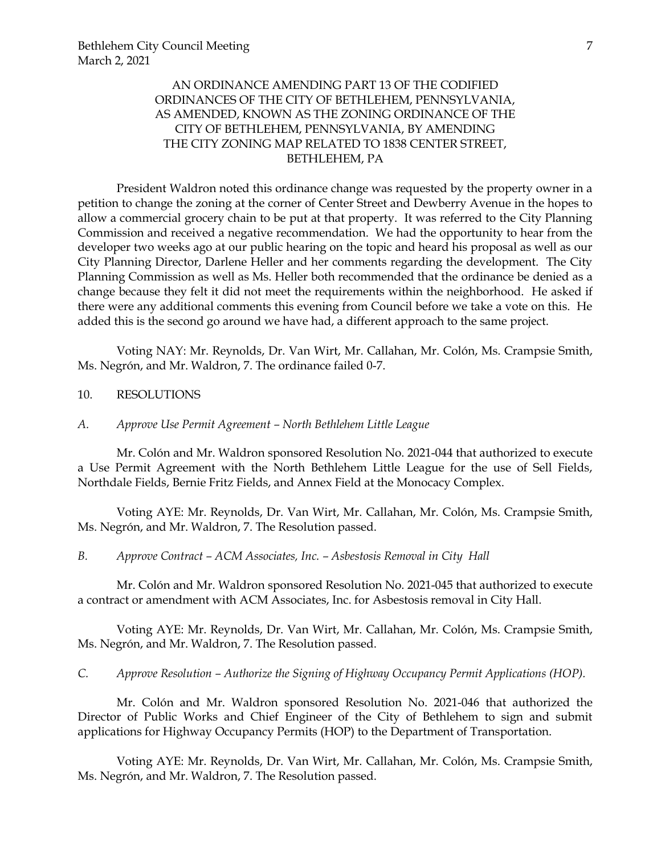# AN ORDINANCE AMENDING PART 13 OF THE CODIFIED ORDINANCES OF THE CITY OF BETHLEHEM, PENNSYLVANIA, AS AMENDED, KNOWN AS THE ZONING ORDINANCE OF THE CITY OF BETHLEHEM, PENNSYLVANIA, BY AMENDING THE CITY ZONING MAP RELATED TO 1838 CENTER STREET, BETHLEHEM, PA

President Waldron noted this ordinance change was requested by the property owner in a petition to change the zoning at the corner of Center Street and Dewberry Avenue in the hopes to allow a commercial grocery chain to be put at that property. It was referred to the City Planning Commission and received a negative recommendation. We had the opportunity to hear from the developer two weeks ago at our public hearing on the topic and heard his proposal as well as our City Planning Director, Darlene Heller and her comments regarding the development. The City Planning Commission as well as Ms. Heller both recommended that the ordinance be denied as a change because they felt it did not meet the requirements within the neighborhood. He asked if there were any additional comments this evening from Council before we take a vote on this. He added this is the second go around we have had, a different approach to the same project.

Voting NAY: Mr. Reynolds, Dr. Van Wirt, Mr. Callahan, Mr. Colón, Ms. Crampsie Smith, Ms. Negrón, and Mr. Waldron, 7. The ordinance failed 0-7.

### 10. RESOLUTIONS

### *A. Approve Use Permit Agreement – North Bethlehem Little League*

Mr. Colón and Mr. Waldron sponsored Resolution No. 2021-044 that authorized to execute a Use Permit Agreement with the North Bethlehem Little League for the use of Sell Fields, Northdale Fields, Bernie Fritz Fields, and Annex Field at the Monocacy Complex.

Voting AYE: Mr. Reynolds, Dr. Van Wirt, Mr. Callahan, Mr. Colón, Ms. Crampsie Smith, Ms. Negrón, and Mr. Waldron, 7. The Resolution passed.

#### *B. Approve Contract – ACM Associates, Inc. – Asbestosis Removal in City Hall*

Mr. Colón and Mr. Waldron sponsored Resolution No. 2021-045 that authorized to execute a contract or amendment with ACM Associates, Inc. for Asbestosis removal in City Hall.

Voting AYE: Mr. Reynolds, Dr. Van Wirt, Mr. Callahan, Mr. Colón, Ms. Crampsie Smith, Ms. Negrón, and Mr. Waldron, 7. The Resolution passed.

*C. Approve Resolution – Authorize the Signing of Highway Occupancy Permit Applications (HOP).* 

Mr. Colón and Mr. Waldron sponsored Resolution No. 2021-046 that authorized the Director of Public Works and Chief Engineer of the City of Bethlehem to sign and submit applications for Highway Occupancy Permits (HOP) to the Department of Transportation.

Voting AYE: Mr. Reynolds, Dr. Van Wirt, Mr. Callahan, Mr. Colón, Ms. Crampsie Smith, Ms. Negrón, and Mr. Waldron, 7. The Resolution passed.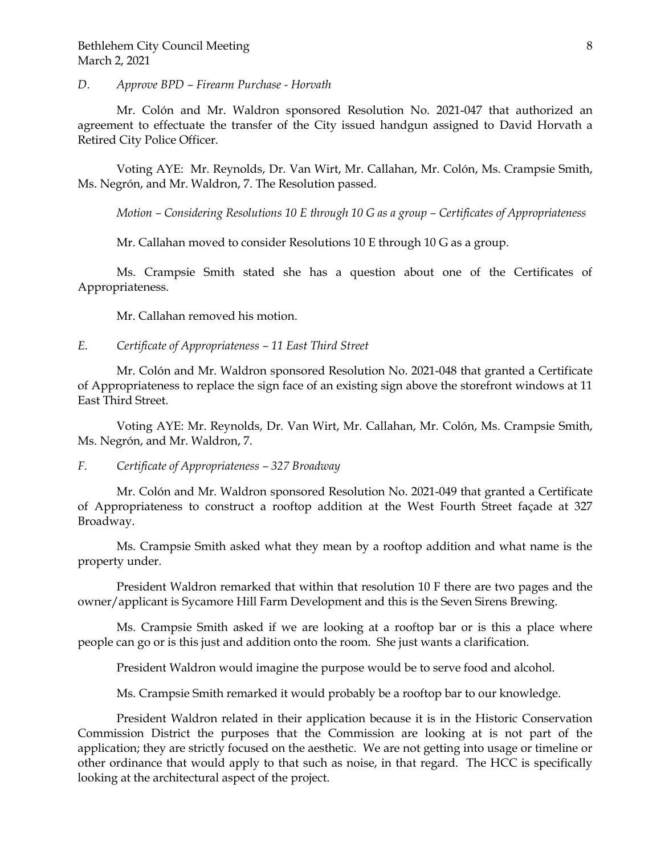### *D. Approve BPD – Firearm Purchase - Horvath*

Mr. Colón and Mr. Waldron sponsored Resolution No. 2021-047 that authorized an agreement to effectuate the transfer of the City issued handgun assigned to David Horvath a Retired City Police Officer.

Voting AYE: Mr. Reynolds, Dr. Van Wirt, Mr. Callahan, Mr. Colón, Ms. Crampsie Smith, Ms. Negrón, and Mr. Waldron, 7. The Resolution passed.

*Motion – Considering Resolutions 10 E through 10 G as a group – Certificates of Appropriateness*

Mr. Callahan moved to consider Resolutions 10 E through 10 G as a group.

Ms. Crampsie Smith stated she has a question about one of the Certificates of Appropriateness.

Mr. Callahan removed his motion.

### *E. Certificate of Appropriateness – 11 East Third Street*

Mr. Colón and Mr. Waldron sponsored Resolution No. 2021-048 that granted a Certificate of Appropriateness to replace the sign face of an existing sign above the storefront windows at 11 East Third Street.

Voting AYE: Mr. Reynolds, Dr. Van Wirt, Mr. Callahan, Mr. Colón, Ms. Crampsie Smith, Ms. Negrón, and Mr. Waldron, 7.

### *F. Certificate of Appropriateness – 327 Broadway*

Mr. Colón and Mr. Waldron sponsored Resolution No. 2021-049 that granted a Certificate of Appropriateness to construct a rooftop addition at the West Fourth Street façade at 327 Broadway.

Ms. Crampsie Smith asked what they mean by a rooftop addition and what name is the property under.

President Waldron remarked that within that resolution 10 F there are two pages and the owner/applicant is Sycamore Hill Farm Development and this is the Seven Sirens Brewing.

Ms. Crampsie Smith asked if we are looking at a rooftop bar or is this a place where people can go or is this just and addition onto the room. She just wants a clarification.

President Waldron would imagine the purpose would be to serve food and alcohol.

Ms. Crampsie Smith remarked it would probably be a rooftop bar to our knowledge.

President Waldron related in their application because it is in the Historic Conservation Commission District the purposes that the Commission are looking at is not part of the application; they are strictly focused on the aesthetic. We are not getting into usage or timeline or other ordinance that would apply to that such as noise, in that regard. The HCC is specifically looking at the architectural aspect of the project.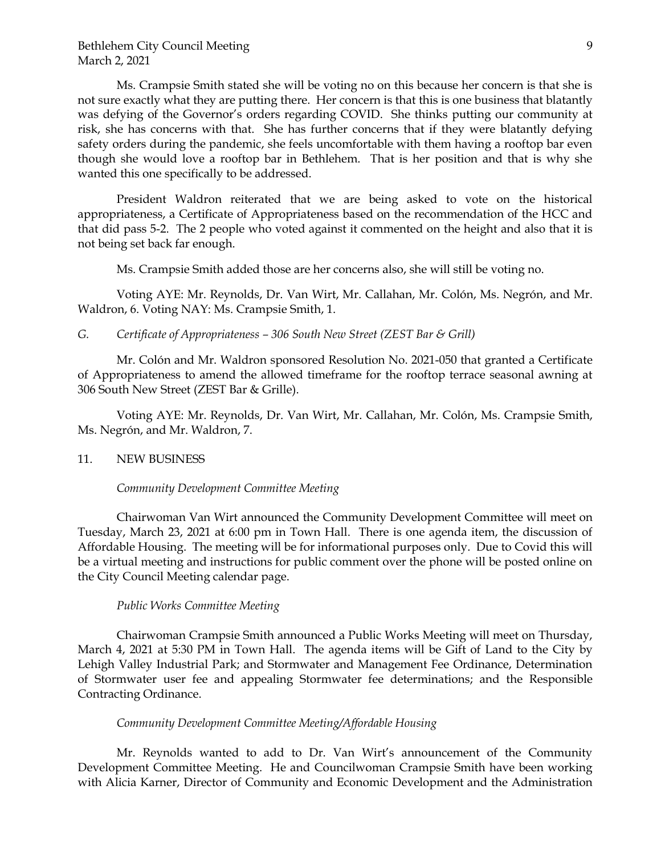Ms. Crampsie Smith stated she will be voting no on this because her concern is that she is not sure exactly what they are putting there. Her concern is that this is one business that blatantly was defying of the Governor's orders regarding COVID. She thinks putting our community at risk, she has concerns with that. She has further concerns that if they were blatantly defying safety orders during the pandemic, she feels uncomfortable with them having a rooftop bar even though she would love a rooftop bar in Bethlehem. That is her position and that is why she wanted this one specifically to be addressed.

President Waldron reiterated that we are being asked to vote on the historical appropriateness, a Certificate of Appropriateness based on the recommendation of the HCC and that did pass 5-2. The 2 people who voted against it commented on the height and also that it is not being set back far enough.

Ms. Crampsie Smith added those are her concerns also, she will still be voting no.

Voting AYE: Mr. Reynolds, Dr. Van Wirt, Mr. Callahan, Mr. Colón, Ms. Negrón, and Mr. Waldron, 6. Voting NAY: Ms. Crampsie Smith, 1.

### *G. Certificate of Appropriateness – 306 South New Street (ZEST Bar & Grill)*

Mr. Colón and Mr. Waldron sponsored Resolution No. 2021-050 that granted a Certificate of Appropriateness to amend the allowed timeframe for the rooftop terrace seasonal awning at 306 South New Street (ZEST Bar & Grille).

Voting AYE: Mr. Reynolds, Dr. Van Wirt, Mr. Callahan, Mr. Colón, Ms. Crampsie Smith, Ms. Negrón, and Mr. Waldron, 7.

#### 11. NEW BUSINESS

#### *Community Development Committee Meeting*

Chairwoman Van Wirt announced the Community Development Committee will meet on Tuesday, March 23, 2021 at 6:00 pm in Town Hall. There is one agenda item, the discussion of Affordable Housing. The meeting will be for informational purposes only. Due to Covid this will be a virtual meeting and instructions for public comment over the phone will be posted online on the City Council Meeting calendar page.

#### *Public Works Committee Meeting*

Chairwoman Crampsie Smith announced a Public Works Meeting will meet on Thursday, March 4, 2021 at 5:30 PM in Town Hall. The agenda items will be Gift of Land to the City by Lehigh Valley Industrial Park; and Stormwater and Management Fee Ordinance, Determination of Stormwater user fee and appealing Stormwater fee determinations; and the Responsible Contracting Ordinance.

#### *Community Development Committee Meeting/Affordable Housing*

Mr. Reynolds wanted to add to Dr. Van Wirt's announcement of the Community Development Committee Meeting. He and Councilwoman Crampsie Smith have been working with Alicia Karner, Director of Community and Economic Development and the Administration